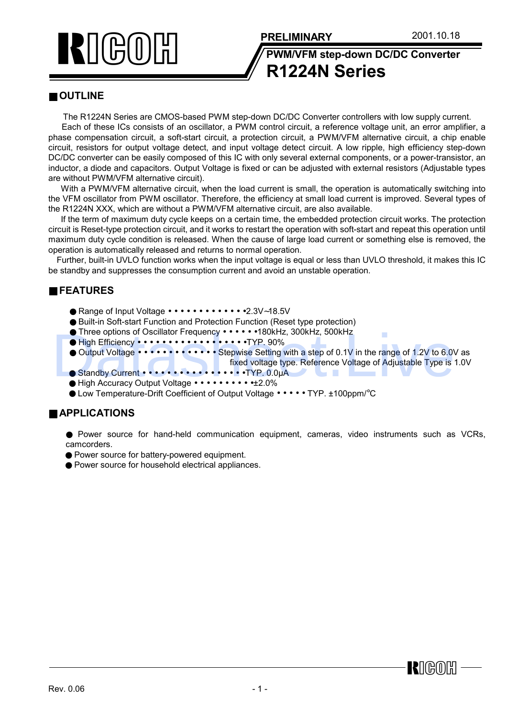



**R1224N Series**

## ■ **OUTLINE**

The R1224N Series are CMOS-based PWM step-down DC/DC Converter controllers with low supply current.

Each of these ICs consists of an oscillator, a PWM control circuit, a reference voltage unit, an error amplifier, a phase compensation circuit, a soft-start circuit, a protection circuit, a PWM/VFM alternative circuit, a chip enable circuit, resistors for output voltage detect, and input voltage detect circuit. A low ripple, high efficiency step-down DC/DC converter can be easily composed of this IC with only several external components, or a power-transistor, an inductor, a diode and capacitors. Output Voltage is fixed or can be adjusted with external resistors (Adjustable types are without PWM/VFM alternative circuit).

With a PWM/VFM alternative circuit, when the load current is small, the operation is automatically switching into the VFM oscillator from PWM oscillator. Therefore, the efficiency at small load current is improved. Several types of the R1224N XXX, which are without a PWM/VFM alternative circuit, are also available.

 If the term of maximum duty cycle keeps on a certain time, the embedded protection circuit works. The protection circuit is Reset-type protection circuit, and it works to restart the operation with soft-start and repeat this operation until maximum duty cycle condition is released. When the cause of large load current or something else is removed, the operation is automatically released and returns to normal operation.

Further, built-in UVLO function works when the input voltage is equal or less than UVLO threshold, it makes this IC be standby and suppresses the consumption current and avoid an unstable operation.

# ■ **FEATURES**

- Range of Input Voltage • • • • • • •2.3V∼18.5V
- Built-in Soft-start Function and Protection Function (Reset type protection)
- Three options of Oscillator Frequency • • • 180kHz, 300kHz, 500kHz
- High Efficiency • • • • • • • • •TYP. 90%
- Output Voltage • • • • • • Stepwise Setting with a step of 0.1V in the range of 1.2V to 6.0V as fixed voltage type. Reference Voltage of Adjustable Type is 1.0V Datasheet.Live
	- Standby Current • • • • • • • • • TYP. 0.0µA
	- High Accuracy Output Voltage • • • • •±2.0%
	- Low Temperature-Drift Coefficient of Output Voltage • • TYP. ±100ppm/°C

### ■ **APPLICATIONS**

- Power source for hand-held communication equipment, cameras, video instruments such as VCRs, camcorders.
- Power source for battery-powered equipment.
- Power source for household electrical appliances.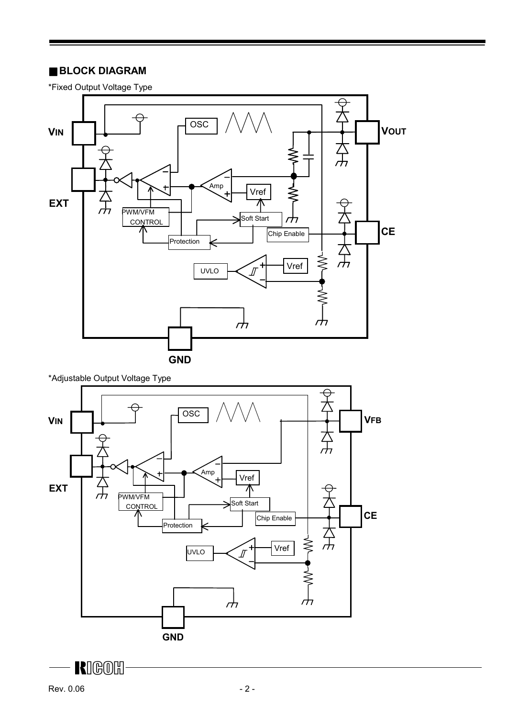### ■ **BLOCK DIAGRAM**

\*Fixed Output Voltage Type



**KIGOH** 

 $\frac{1}{\sqrt{2}}$ 

 $\sum_{\substack{ }\\<\, }$ 

rН

**GND**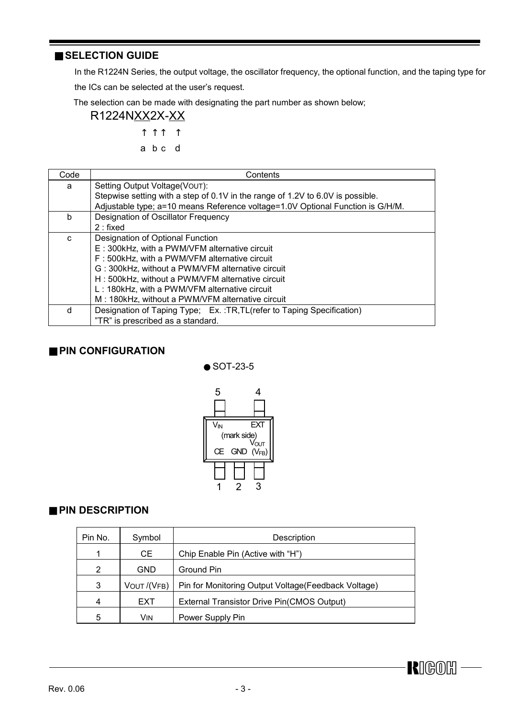### ■ **SELECTION GUIDE**

In the R1224N Series, the output voltage, the oscillator frequency, the optional function, and the taping type for

the ICs can be selected at the user's request.

The selection can be made with designating the part number as shown below;

 R1224NXX2X-XX ↑ ↑ ↑ ↑

$$
a \ b \ c \ d
$$

| Code | Contents                                                                       |
|------|--------------------------------------------------------------------------------|
| a    | Setting Output Voltage(VOUT):                                                  |
|      | Stepwise setting with a step of 0.1V in the range of 1.2V to 6.0V is possible. |
|      | Adjustable type; a=10 means Reference voltage=1.0V Optional Function is G/H/M. |
| b    | Designation of Oscillator Frequency                                            |
|      | $2:$ fixed                                                                     |
| C    | Designation of Optional Function                                               |
|      | E: 300kHz, with a PWM/VFM alternative circuit                                  |
|      | F: 500kHz, with a PWM/VFM alternative circuit                                  |
|      | G: 300kHz, without a PWM/VFM alternative circuit                               |
|      | H: 500kHz, without a PWM/VFM alternative circuit                               |
|      | L: 180kHz, with a PWM/VFM alternative circuit                                  |
|      | M: 180kHz, without a PWM/VFM alternative circuit                               |
| d    | Designation of Taping Type; Ex.: TR, TL (refer to Taping Specification)        |
|      | "TR" is prescribed as a standard.                                              |

## ■ **PIN CONFIGURATION**



# ■ **PIN DESCRIPTION**

| Pin No. | Symbol      | Description                                          |
|---------|-------------|------------------------------------------------------|
|         | CE          | Chip Enable Pin (Active with "H")                    |
| 2       | <b>GND</b>  | Ground Pin                                           |
| 3       | VOUT /(VFB) | Pin for Monitoring Output Voltage (Feedback Voltage) |
| 4       | <b>EXT</b>  | External Transistor Drive Pin(CMOS Output)           |
| 5       | Vin.        | Power Supply Pin                                     |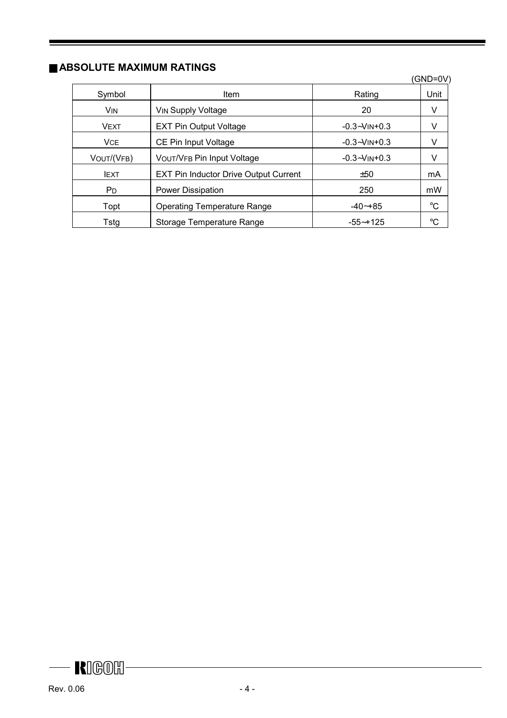# ■ **ABSOLUTE MAXIMUM RATINGS**

|             |                                              |                      | (GND=0V)    |
|-------------|----------------------------------------------|----------------------|-------------|
| Symbol      | <b>Item</b>                                  | Rating               | Unit        |
| <b>VIN</b>  | <b>VIN Supply Voltage</b>                    | 20                   | V           |
| <b>VEXT</b> | <b>EXT Pin Output Voltage</b>                | $-0.3 - V$ IN $+0.3$ | V           |
| <b>VCE</b>  | CE Pin Input Voltage                         | $-0.3 - V$ IN+0.3    | V           |
| VOUT/(VFB)  | <b>VOUT/VFB Pin Input Voltage</b>            | $-0.3 - V$ IN+0.3    | V           |
| <b>IEXT</b> | <b>EXT Pin Inductor Drive Output Current</b> | ±50                  | mA          |
| Pn.         | Power Dissipation                            | 250                  | mW          |
| Topt        | <b>Operating Temperature Range</b>           | $-40 - +85$          | $^{\circ}C$ |
| Tstg        | Storage Temperature Range                    | $-55 - +125$         | °C          |

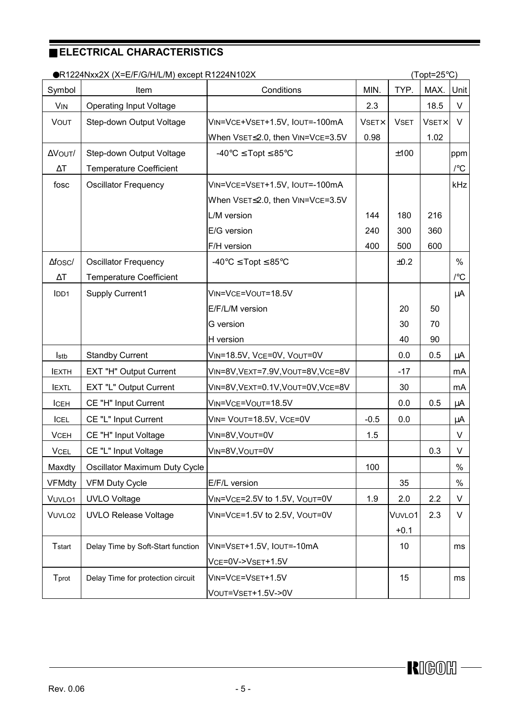# **ELECTRICAL CHARACTERISTICS**

| ●R1224Nxx2X (X=E/F/G/H/L/M) except R1224N102X<br>$(Topt=25^{\circ}C)$ |                                   |                                         |              |             |              |               |
|-----------------------------------------------------------------------|-----------------------------------|-----------------------------------------|--------------|-------------|--------------|---------------|
| Symbol                                                                | Item                              | Conditions                              | MIN.         | TYP.        | MAX.         | Unit          |
| <b>VIN</b>                                                            | <b>Operating Input Voltage</b>    |                                         | 2.3          |             | 18.5         | $\vee$        |
| <b>VOUT</b>                                                           | Step-down Output Voltage          | VIN=VCE+VSET+1.5V, IOUT=-100mA          | <b>VSETX</b> | <b>VSET</b> | <b>VSETX</b> | $\vee$        |
|                                                                       |                                   | When VsET≤2.0, then VIN=VcE=3.5V        | 0.98         |             | 1.02         |               |
| ΔVΟυτ/                                                                | Step-down Output Voltage          | -40°C $\leq$ Topt $\leq$ 85°C           |              | ±100        |              | ppm           |
| $\Delta\mathsf{T}$                                                    | <b>Temperature Coefficient</b>    |                                         |              |             |              | $\sqrt{\ }$ C |
| fosc                                                                  | <b>Oscillator Frequency</b>       | VIN=VCE=VSET+1.5V, IOUT=-100mA          |              |             |              | kHz           |
|                                                                       |                                   | When VsET≤2.0, then VIN=VCE=3.5V        |              |             |              |               |
|                                                                       |                                   | L/M version                             | 144          | 180         | 216          |               |
|                                                                       |                                   | E/G version                             | 240          | 300         | 360          |               |
|                                                                       |                                   | F/H version                             | 400          | 500         | 600          |               |
| $\Delta$ fosc/                                                        | <b>Oscillator Frequency</b>       | $-40^{\circ}$ C $\leq$ Topt $\leq$ 85°C |              | ±0.2        |              | $\%$          |
| $\Delta\mathsf{T}$                                                    | <b>Temperature Coefficient</b>    |                                         |              |             |              | $\sqrt{\ }$ C |
| I <sub>DD1</sub>                                                      | Supply Current1                   | VIN=VCE=VOUT=18.5V                      |              |             |              | μA            |
|                                                                       |                                   | E/F/L/M version                         |              | 20          | 50           |               |
|                                                                       |                                   | G version                               |              | 30          | 70           |               |
|                                                                       |                                   | H version                               |              | 40          | 90           |               |
| <b>Istb</b>                                                           | <b>Standby Current</b>            | VIN=18.5V, VCE=0V, VOUT=0V              |              | 0.0         | 0.5          | μA            |
| <b>IEXTH</b>                                                          | EXT "H" Output Current            | VIN=8V, VEXT=7.9V, VOUT=8V, VCE=8V      |              | $-17$       |              | mA            |
| <b>IEXTL</b>                                                          | EXT "L" Output Current            | VIN=8V, VEXT=0.1V, VOUT=0V, VCE=8V      |              | 30          |              | mA            |
| <b>ICEH</b>                                                           | CE "H" Input Current              | VIN=VCE=VOUT=18.5V                      |              | 0.0         | 0.5          | μA            |
| ICEL                                                                  | CE "L" Input Current              | VIN= VOUT=18.5V, VCE=0V                 | $-0.5$       | 0.0         |              | μA            |
| <b>VCEH</b>                                                           | CE "H" Input Voltage              | VIN=8V, VOUT=0V                         | 1.5          |             |              | $\vee$        |
| <b>VCEL</b>                                                           | CE "L" Input Voltage              | VIN=8V, VOUT=0V                         |              |             | 0.3          | $\vee$        |
| Maxdty                                                                | Oscillator Maximum Duty Cycle     |                                         | 100          |             |              | $\%$          |
| <b>VFMdty</b>                                                         | <b>VFM Duty Cycle</b>             | E/F/L version                           |              | 35          |              | $\%$          |
| VUVLO1                                                                | <b>UVLO Voltage</b>               | VIN=VCE=2.5V to 1.5V, VOUT=0V           | 1.9          | 2.0         | 2.2          | V             |
| VUVLO <sub>2</sub>                                                    | <b>UVLO Release Voltage</b>       | VIN=VCE=1.5V to 2.5V, VOUT=0V           |              | VUVLO1      | 2.3          | V             |
|                                                                       |                                   |                                         |              | $+0.1$      |              |               |
| <b>T</b> start                                                        | Delay Time by Soft-Start function | VIN=VSET+1.5V, IOUT=-10mA               |              | 10          |              | ms            |
|                                                                       |                                   | VCE=0V->VSET+1.5V                       |              |             |              |               |
| Tprot                                                                 | Delay Time for protection circuit | VIN=VCE=VSET+1.5V                       |              | 15          |              | ms            |
|                                                                       |                                   | VOUT=VSET+1.5V->0V                      |              |             |              |               |

 $\overline{\phantom{0}}$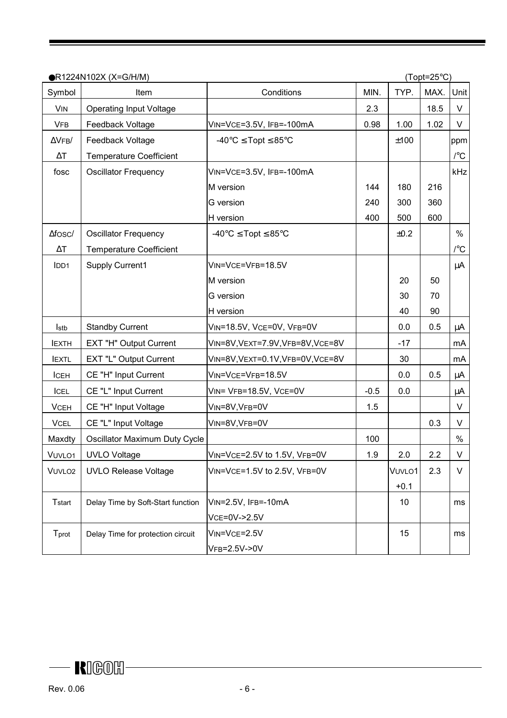| ●R1224N102X (X=G/H/M) |                                   |                                                           | $(Topt=25^{\circ}C)$ |        |      |                                 |
|-----------------------|-----------------------------------|-----------------------------------------------------------|----------------------|--------|------|---------------------------------|
| Symbol                | Item                              | Conditions                                                | MIN.                 | TYP.   | MAX. | Unit                            |
| <b>VIN</b>            | <b>Operating Input Voltage</b>    |                                                           | 2.3                  |        | 18.5 | V                               |
| <b>VFB</b>            | Feedback Voltage                  | VIN=VCE=3.5V, IFB=-100mA                                  | 0.98                 | 1.00   | 1.02 | V                               |
| $\Delta$ VFB/         | Feedback Voltage                  | -40 $\textdegree$ C $\leq$ Topt $\leq$ 85 $\textdegree$ C |                      | ±100   |      | ppm                             |
| $\Delta\mathsf{T}$    | <b>Temperature Coefficient</b>    |                                                           |                      |        |      | $\mathcal{C}$                   |
| fosc                  | <b>Oscillator Frequency</b>       | VIN=VCE=3.5V, IFB=-100mA                                  |                      |        |      | kHz                             |
|                       |                                   | M version                                                 | 144                  | 180    | 216  |                                 |
|                       |                                   | G version                                                 | 240                  | 300    | 360  |                                 |
|                       |                                   | H version                                                 | 400                  | 500    | 600  |                                 |
| $\Delta$ fosc/        | <b>Oscillator Frequency</b>       | $-40^{\circ}$ C $\leq$ Topt $\leq$ 85°C                   |                      | ±0.2   |      | $\frac{0}{0}$                   |
| $\Delta\mathsf{T}$    | <b>Temperature Coefficient</b>    |                                                           |                      |        |      | $\mathcal{V}^{\circ}\mathbb{C}$ |
| I <sub>DD1</sub>      | Supply Current1                   | VIN=VCE=VFB=18.5V                                         |                      |        |      | μA                              |
|                       |                                   | M version                                                 |                      | 20     | 50   |                                 |
|                       |                                   | G version                                                 |                      | 30     | 70   |                                 |
|                       |                                   | H version                                                 |                      | 40     | 90   |                                 |
| <b>Istb</b>           | <b>Standby Current</b>            | VIN=18.5V, VCE=0V, VFB=0V                                 |                      | 0.0    | 0.5  | μA                              |
| <b>IEXTH</b>          | EXT "H" Output Current            | VIN=8V, VEXT=7.9V, VFB=8V, VCE=8V                         |                      | $-17$  |      | mA                              |
| <b>IEXTL</b>          | EXT "L" Output Current            | VIN=8V, VEXT=0.1V, VFB=0V, VCE=8V                         |                      | 30     |      | mA                              |
| ICEH                  | CE "H" Input Current              | VIN=VCE=VFB=18.5V                                         |                      | 0.0    | 0.5  | μA                              |
| ICEL                  | CE "L" Input Current              | VIN= VFB=18.5V, VCE=0V                                    | $-0.5$               | 0.0    |      | μA                              |
| <b>VCEH</b>           | CE "H" Input Voltage              | VIN=8V, VFB=0V                                            | 1.5                  |        |      | $\vee$                          |
| <b>VCEL</b>           | CE "L" Input Voltage              | VIN=8V, VFB=0V                                            |                      |        | 0.3  | $\vee$                          |
| Maxdty                | Oscillator Maximum Duty Cycle     |                                                           | 100                  |        |      | $\%$                            |
| VUVLO1                | <b>UVLO Voltage</b>               | VIN=VCE=2.5V to 1.5V, VFB=0V                              | 1.9                  | 2.0    | 2.2  | V                               |
| VUVLO <sub>2</sub>    | <b>UVLO Release Voltage</b>       | VIN=VCE=1.5V to 2.5V, VFB=0V                              |                      | VUVLO1 | 2.3  | V                               |
|                       |                                   |                                                           |                      | $+0.1$ |      |                                 |
| <b>T</b> start        | Delay Time by Soft-Start function | VIN=2.5V, IFB=-10mA                                       |                      | 10     |      | ms                              |
|                       |                                   | VCE=0V->2.5V                                              |                      |        |      |                                 |
| Tprot                 | Delay Time for protection circuit | VIN=VCE=2.5V                                              |                      | 15     |      | ms                              |
|                       |                                   | VFB=2.5V->0V                                              |                      |        |      |                                 |

 $\overline{\phantom{a}}$  RIGOH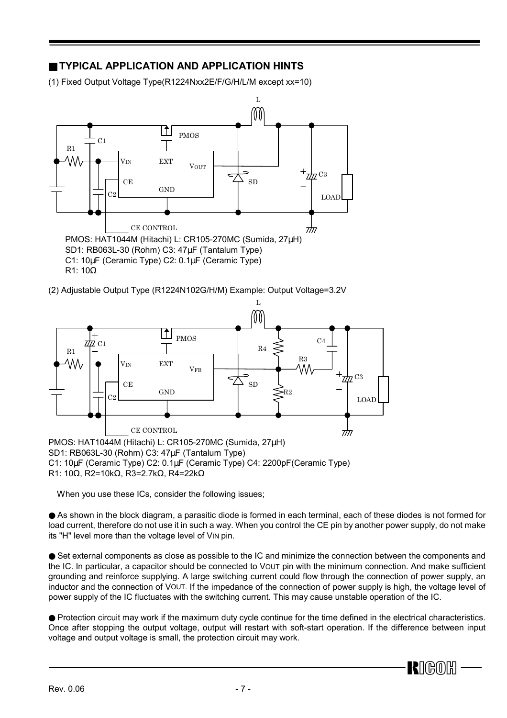# ■ **TYPICAL APPLICATION AND APPLICATION HINTS**

(1) Fixed Output Voltage Type(R1224Nxx2E/F/G/H/L/M except xx=10)



(2) Adjustable Output Type (R1224N102G/H/M) Example: Output Voltage=3.2V



R1: 10Ω, R2=10kΩ, R3=2.7kΩ, R4=22kΩ

When you use these ICs, consider the following issues;

● As shown in the block diagram, a parasitic diode is formed in each terminal, each of these diodes is not formed for load current, therefore do not use it in such a way. When you control the CE pin by another power supply, do not make its "H" level more than the voltage level of VIN pin.

● Set external components as close as possible to the IC and minimize the connection between the components and the IC. In particular, a capacitor should be connected to VOUT pin with the minimum connection. And make sufficient grounding and reinforce supplying. A large switching current could flow through the connection of power supply, an inductor and the connection of VOUT. If the impedance of the connection of power supply is high, the voltage level of power supply of the IC fluctuates with the switching current. This may cause unstable operation of the IC.

● Protection circuit may work if the maximum duty cycle continue for the time defined in the electrical characteristics. Once after stopping the output voltage, output will restart with soft-start operation. If the difference between input voltage and output voltage is small, the protection circuit may work.

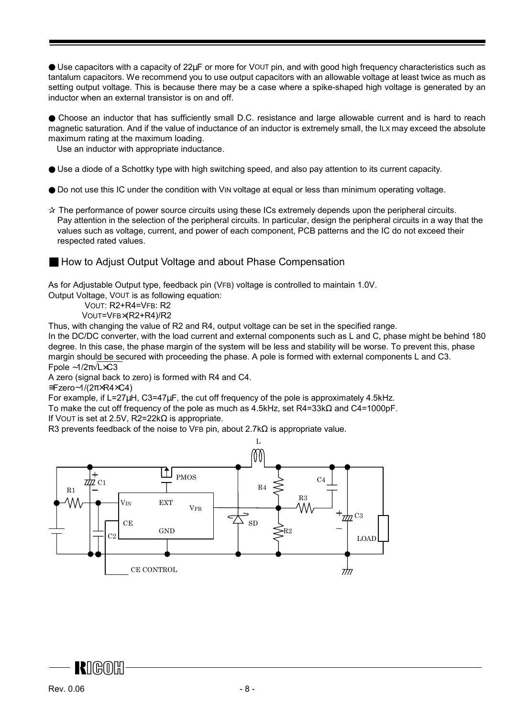● Use capacitors with a capacity of 22µF or more for VOUT pin, and with good high frequency characteristics such as tantalum capacitors. We recommend you to use output capacitors with an allowable voltage at least twice as much as setting output voltage. This is because there may be a case where a spike-shaped high voltage is generated by an inductor when an external transistor is on and off.

● Choose an inductor that has sufficiently small D.C. resistance and large allowable current and is hard to reach magnetic saturation. And if the value of inductance of an inductor is extremely small, the ILX may exceed the absolute maximum rating at the maximum loading.

Use an inductor with appropriate inductance.

- Use a diode of a Schottky type with high switching speed, and also pay attention to its current capacity.
- Do not use this IC under the condition with VIN voltage at equal or less than minimum operating voltage.
- ✰ The performance of power source circuits using these ICs extremely depends upon the peripheral circuits. Pay attention in the selection of the peripheral circuits. In particular, design the peripheral circuits in a way that the values such as voltage, current, and power of each component, PCB patterns and the IC do not exceed their respected rated values.
- How to Adjust Output Voltage and about Phase Compensation

As for Adjustable Output type, feedback pin (VFB) voltage is controlled to maintain 1.0V.

Output Voltage, VOUT is as following equation:

VOUT: R2+R4=VFB: R2

VOUT=VFB×(R2+R4)/R2

Thus, with changing the value of R2 and R4, output voltage can be set in the specified range.

In the DC/DC converter, with the load current and external components such as L and C, phase might be behind 180 degree. In this case, the phase margin of the system will be less and stability will be worse. To prevent this, phase margin should be secured with proceeding the phase. A pole is formed with external components L and C3. Fpole ∼1/2π√L×C3

A zero (signal back to zero) is formed with R4 and C4.

≅Fzero∼1/(2π×R4×C4)

For example, if L=27µH, C3=47µF, the cut off frequency of the pole is approximately 4.5kHz.

To make the cut off frequency of the pole as much as 4.5kHz, set R4=33kΩ and C4=1000pF.

If VOUT is set at 2.5V, R2=22k $\Omega$  is appropriate.

R3 prevents feedback of the noise to VFB pin, about 2.7k $\Omega$  is appropriate value.



**R**IGOR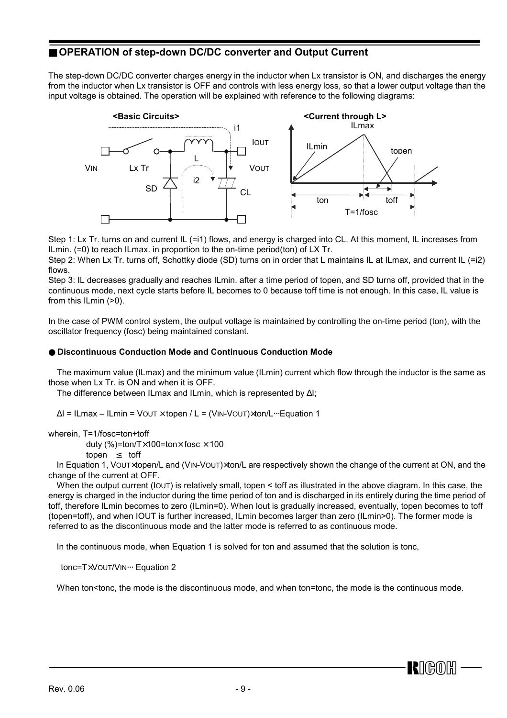### ■ **OPERATION** of step-down DC/DC converter and Output Current

The step-down DC/DC converter charges energy in the inductor when Lx transistor is ON, and discharges the energy from the inductor when Lx transistor is OFF and controls with less energy loss, so that a lower output voltage than the input voltage is obtained. The operation will be explained with reference to the following diagrams:



Step 1: Lx Tr. turns on and current IL (=i1) flows, and energy is charged into CL. At this moment, IL increases from ILmin. (=0) to reach ILmax. in proportion to the on-time period(ton) of LX Tr.

Step 2: When Lx Tr. turns off, Schottky diode (SD) turns on in order that L maintains IL at ILmax, and current IL (=i2) flows.

Step 3: IL decreases gradually and reaches ILmin. after a time period of topen, and SD turns off, provided that in the continuous mode, next cycle starts before IL becomes to 0 because toff time is not enough. In this case, IL value is from this ILmin (>0).

In the case of PWM control system, the output voltage is maintained by controlling the on-time period (ton), with the oscillator frequency (fosc) being maintained constant.

#### ● **Discontinuous Conduction Mode and Continuous Conduction Mode**

 The maximum value (ILmax) and the minimum value (ILmin) current which flow through the inductor is the same as those when Lx Tr. is ON and when it is OFF.

The difference between ILmax and ILmin, which is represented by ∆I;

∆I = ILmax – ILmin = VOUT × topen / L = (VIN-VOUT)×ton/L⋅⋅⋅Equation 1

wherein, T=1/fosc=ton+toff

duty (%)=ton/T $\times$ 100=ton $\times$  fosc  $\times$  100

topen ≤ toff

In Equation 1, Voutxtopen/L and (VIN-Vout) xton/L are respectively shown the change of the current at ON, and the change of the current at OFF.

When the output current (IOUT) is relatively small, topen < toff as illustrated in the above diagram. In this case, the energy is charged in the inductor during the time period of ton and is discharged in its entirely during the time period of toff, therefore ILmin becomes to zero (ILmin=0). When Iout is gradually increased, eventually, topen becomes to toff (topen=toff), and when IOUT is further increased, ILmin becomes larger than zero (ILmin>0). The former mode is referred to as the discontinuous mode and the latter mode is referred to as continuous mode.

In the continuous mode, when Equation 1 is solved for ton and assumed that the solution is tonc,

tonc=TxVOUT/VIN ··· Equation 2

When ton<tonc, the mode is the discontinuous mode, and when ton=tonc, the mode is the continuous mode.

 $R$ I $C$  $O$  $R$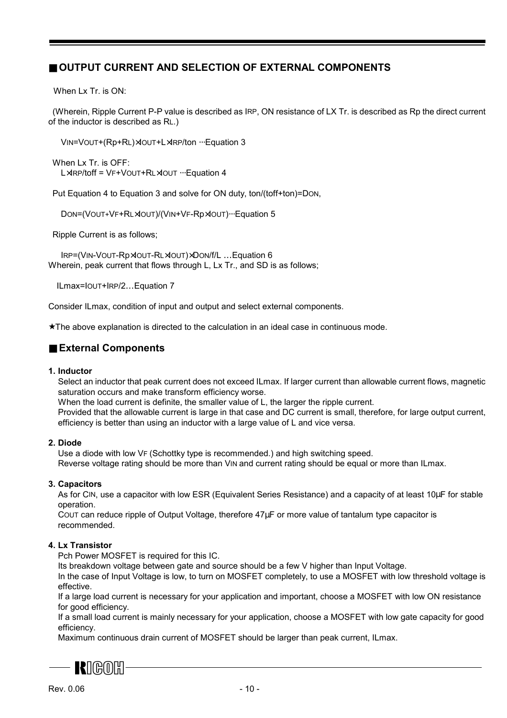## ■ **OUTPUT CURRENT AND SELECTION OF EXTERNAL COMPONENTS**

When  $I \times Tr$  is  $ON$ <sup>.</sup>

 (Wherein, Ripple Current P-P value is described as IRP, ON resistance of LX Tr. is described as Rp the direct current of the inductor is described as RL.)

VIN=VOUT+(Rp+RL)×IOUT+L×IRP/ton ⋅⋅⋅Equation 3

 When Lx Tr. is OFF: L×IRP/toff = VF+VOUT+RL×IOUT ··· Equation 4

Put Equation 4 to Equation 3 and solve for ON duty, ton/(toff+ton)=DON,

DON=(VOUT+VF+RL×IOUT)/(VIN+VF-Rp×IOUT) ··· Equation 5

Ripple Current is as follows;

 IRP=(VIN-VOUT-Rp×IOUT-RL×IOUT)×DON/f/L …Equation 6 Wherein, peak current that flows through L, Lx Tr., and SD is as follows;

ILmax=IOUT+IRP/2…Equation 7

Consider ILmax, condition of input and output and select external components.

★The above explanation is directed to the calculation in an ideal case in continuous mode.

#### ■ **External Components**

#### **1. Inductor**

Select an inductor that peak current does not exceed ILmax. If larger current than allowable current flows, magnetic saturation occurs and make transform efficiency worse.

When the load current is definite, the smaller value of L, the larger the ripple current.

Provided that the allowable current is large in that case and DC current is small, therefore, for large output current, efficiency is better than using an inductor with a large value of L and vice versa.

#### **2. Diode**

Use a diode with low VF (Schottky type is recommended.) and high switching speed. Reverse voltage rating should be more than VIN and current rating should be equal or more than ILmax.

#### **3. Capacitors**

As for CIN, use a capacitor with low ESR (Equivalent Series Resistance) and a capacity of at least 10µF for stable operation.

COUT can reduce ripple of Output Voltage, therefore 47µF or more value of tantalum type capacitor is recommended.

#### **4. Lx Transistor**

Pch Power MOSFET is required for this IC.

Its breakdown voltage between gate and source should be a few V higher than Input Voltage.

In the case of Input Voltage is low, to turn on MOSFET completely, to use a MOSFET with low threshold voltage is effective.

If a large load current is necessary for your application and important, choose a MOSFET with low ON resistance for good efficiency.

If a small load current is mainly necessary for your application, choose a MOSFET with low gate capacity for good efficiency.

Maximum continuous drain current of MOSFET should be larger than peak current, ILmax.